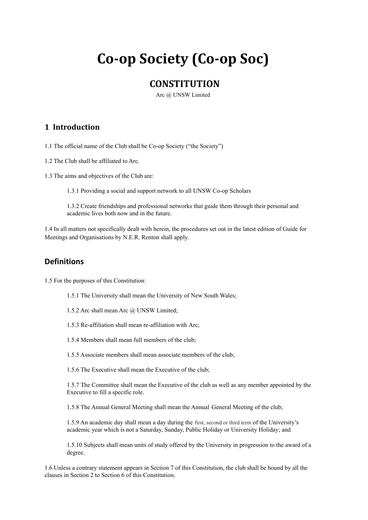# **Co-op Society (Co-op Soc)**

# **CONSTITUTION**

Arc @ UNSW Limited

## **1 Introduction**

1.1 The official name of the Club shall be Co-op Society ("the Society")

- 1.2 The Club shall be affiliated to Arc.
- 1.3 The aims and objectives of the Club are:

1.3.1 Providing a social and support network to all UNSW Co-op Scholars

1.3.2 Create friendships and professional networks that guide them through their personal and academic lives both now and in the future.

1.4 In all matters not specifically dealt with herein, the procedures set out in the latest edition of Guide for Meetings and Organisations by N.E.R. Renton shall apply.

# **Definitions**

1.5 For the purposes of this Constitution:

- 1.5.1 The University shall mean the University of New South Wales;
- 1.5.2 Arc shall mean Arc @ UNSW Limited;
- 1.5.3 Re-affiliation shall mean re-affiliation with Arc;
- 1.5.4 Members shall mean full members of the club;
- 1.5.5 Associate members shall mean associate members of the club;
- 1.5.6 The Executive shall mean the Executive of the club;

1.5.7 The Committee shall mean the Executive of the club as well as any member appointed by the Executive to fill a specific role.

1.5.8 The Annual General Meeting shall mean the Annual General Meeting of the club;

1.5.9 An academic day shall mean a day during the first, second or third term of the University's academic year which is not a Saturday, Sunday, Public Holiday or University Holiday; and

1.5.10 Subjects shall mean units of study offered by the University in progression to the award of a degree.

1.6 Unless a contrary statement appears in Section 7 of this Constitution, the club shall be bound by all the clauses in Section 2 to Section 6 of this Constitution.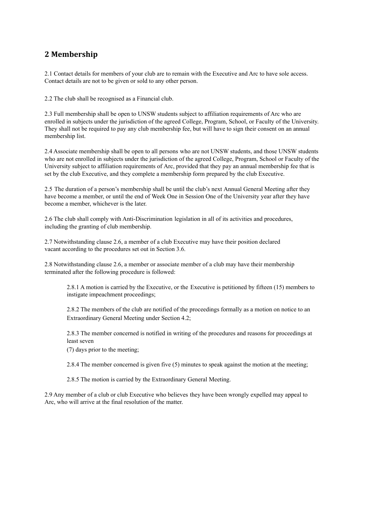# **2 Membership**

2.1 Contact details for members of your club are to remain with the Executive and Arc to have sole access. Contact details are not to be given or sold to any other person.

2.2 The club shall be recognised as a Financial club.

2.3 Full membership shall be open to UNSW students subject to affiliation requirements of Arc who are enrolled in subjects under the jurisdiction of the agreed College, Program, School, or Faculty of the University. They shall not be required to pay any club membership fee, but will have to sign their consent on an annual membership list.

2.4 Associate membership shall be open to all persons who are not UNSW students, and those UNSW students who are not enrolled in subjects under the jurisdiction of the agreed College, Program, School or Faculty of the University subject to affiliation requirements of Arc, provided that they pay an annual membership fee that is set by the club Executive, and they complete a membership form prepared by the club Executive.

2.5 The duration of a person's membership shall be until the club's next Annual General Meeting after they have become a member, or until the end of Week One in Session One of the University year after they have become a member, whichever is the later.

2.6 The club shall comply with Anti-Discrimination legislation in all of its activities and procedures, including the granting of club membership.

2.7 Notwithstanding clause 2.6, a member of a club Executive may have their position declared vacant according to the procedures set out in Section 3.6.

2.8 Notwithstanding clause 2.6, a member or associate member of a club may have their membership terminated after the following procedure is followed:

2.8.1 A motion is carried by the Executive, or the Executive is petitioned by fifteen (15) members to instigate impeachment proceedings;

2.8.2 The members of the club are notified of the proceedings formally as a motion on notice to an Extraordinary General Meeting under Section 4.2;

2.8.3 The member concerned is notified in writing of the procedures and reasons for proceedings at least seven

(7) days prior to the meeting;

2.8.4 The member concerned is given five (5) minutes to speak against the motion at the meeting;

2.8.5 The motion is carried by the Extraordinary General Meeting.

2.9 Any member of a club or club Executive who believes they have been wrongly expelled may appeal to Arc, who will arrive at the final resolution of the matter.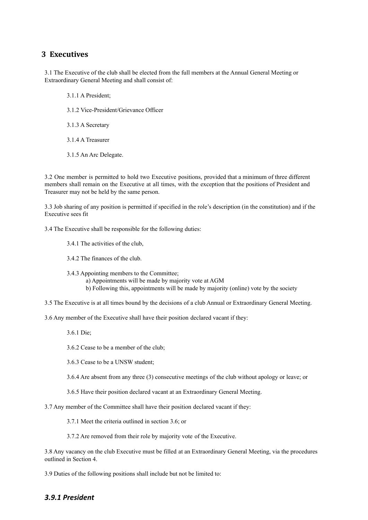## **3 Executives**

3.1 The Executive of the club shall be elected from the full members at the Annual General Meeting or Extraordinary General Meeting and shall consist of:

3.1.1 A President;

3.1.2 Vice-President/Grievance Officer

3.1.3 A Secretary

3.1.4 A Treasurer

3.1.5 An Arc Delegate.

3.2 One member is permitted to hold two Executive positions, provided that a minimum of three different members shall remain on the Executive at all times, with the exception that the positions of President and Treasurer may not be held by the same person.

3.3 Job sharing of any position is permitted if specified in the role's description (in the constitution) and if the Executive sees fit

3.4 The Executive shall be responsible for the following duties:

3.4.1 The activities of the club,

3.4.2 The finances of the club.

3.4.3 Appointing members to the Committee;

a) Appointments will be made by majority vote at AGM

b) Following this, appointments will be made by majority (online) vote by the society

3.5 The Executive is at all times bound by the decisions of a club Annual or Extraordinary General Meeting.

3.6 Any member of the Executive shall have their position declared vacant if they:

3.6.1 Die;

3.6.2 Cease to be a member of the club;

3.6.3 Cease to be a UNSW student;

3.6.4 Are absent from any three (3) consecutive meetings of the club without apology or leave; or

3.6.5 Have their position declared vacant at an Extraordinary General Meeting.

3.7 Any member of the Committee shall have their position declared vacant if they:

3.7.1 Meet the criteria outlined in section 3.6; or

3.7.2 Are removed from their role by majority vote of the Executive.

3.8 Any vacancy on the club Executive must be filled at an Extraordinary General Meeting, via the procedures outlined in Section 4.

3.9 Duties of the following positions shall include but not be limited to:

#### *3.9.1 President*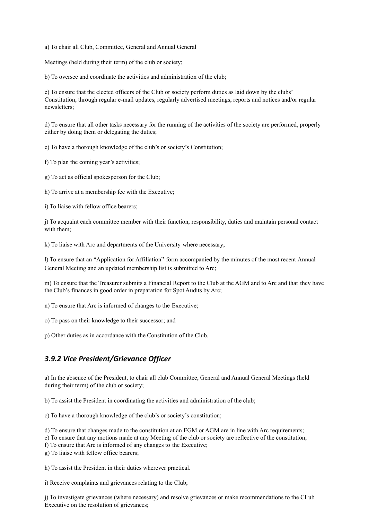a) To chair all Club, Committee, General and Annual General

Meetings (held during their term) of the club or society;

b) To oversee and coordinate the activities and administration of the club;

c) To ensure that the elected officers of the Club or society perform duties as laid down by the clubs' Constitution, through regular e-mail updates, regularly advertised meetings, reports and notices and/or regular newsletters;

d) To ensure that all other tasks necessary for the running of the activities of the society are performed, properly either by doing them or delegating the duties;

e) To have a thorough knowledge of the club's or society's Constitution;

f) To plan the coming year's activities;

g) To act as official spokesperson for the Club;

h) To arrive at a membership fee with the Executive;

i) To liaise with fellow office bearers;

j) To acquaint each committee member with their function, responsibility, duties and maintain personal contact with them;

k) To liaise with Arc and departments of the University where necessary;

l) To ensure that an "Application for Affiliation" form accompanied by the minutes of the most recent Annual General Meeting and an updated membership list is submitted to Arc;

m) To ensure that the Treasurer submits a Financial Report to the Club at the AGM and to Arc and that they have the Club's finances in good order in preparation for Spot Audits by Arc;

n) To ensure that Arc is informed of changes to the Executive;

o) To pass on their knowledge to their successor; and

p) Other duties as in accordance with the Constitution of the Club.

#### *3.9.2 Vice President/Grievance Officer*

a) In the absence of the President, to chair all club Committee, General and Annual General Meetings (held during their term) of the club or society;

b) To assist the President in coordinating the activities and administration of the club;

c) To have a thorough knowledge of the club's or society's constitution;

d) To ensure that changes made to the constitution at an EGM or AGM are in line with Arc requirements;

e) To ensure that any motions made at any Meeting of the club or society are reflective of the constitution;

f) To ensure that Arc is informed of any changes to the Executive;

g) To liaise with fellow office bearers;

h) To assist the President in their duties wherever practical.

i) Receive complaints and grievances relating to the Club;

j) To investigate grievances (where necessary) and resolve grievances or make recommendations to the CLub Executive on the resolution of grievances;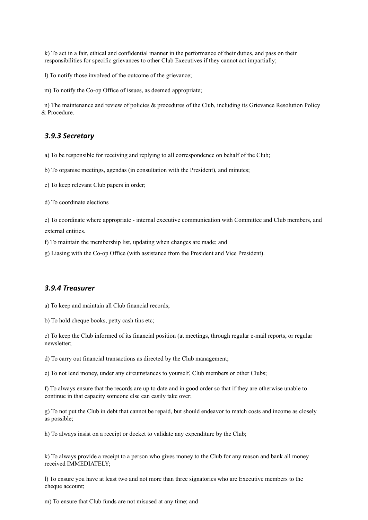k) To act in a fair, ethical and confidential manner in the performance of their duties, and pass on their responsibilities for specific grievances to other Club Executives if they cannot act impartially;

l) To notify those involved of the outcome of the grievance;

m) To notify the Co-op Office of issues, as deemed appropriate;

n) The maintenance and review of policies & procedures of the Club, including its Grievance Resolution Policy & Procedure.

#### *3.9.3 Secretary*

a) To be responsible for receiving and replying to all correspondence on behalf of the Club;

b) To organise meetings, agendas (in consultation with the President), and minutes;

c) To keep relevant Club papers in order;

d) To coordinate elections

e) To coordinate where appropriate - internal executive communication with Committee and Club members, and external entities.

f) To maintain the membership list, updating when changes are made; and

g) Liasing with the Co-op Office (with assistance from the President and Vice President).

#### *3.9.4 Treasurer*

a) To keep and maintain all Club financial records;

b) To hold cheque books, petty cash tins etc;

c) To keep the Club informed of its financial position (at meetings, through regular e-mail reports, or regular newsletter;

d) To carry out financial transactions as directed by the Club management;

e) To not lend money, under any circumstances to yourself, Club members or other Clubs;

f) To always ensure that the records are up to date and in good order so that if they are otherwise unable to continue in that capacity someone else can easily take over;

g) To not put the Club in debt that cannot be repaid, but should endeavor to match costs and income as closely as possible;

h) To always insist on a receipt or docket to validate any expenditure by the Club;

k) To always provide a receipt to a person who gives money to the Club for any reason and bank all money received IMMEDIATELY;

l) To ensure you have at least two and not more than three signatories who are Executive members to the cheque account;

m) To ensure that Club funds are not misused at any time; and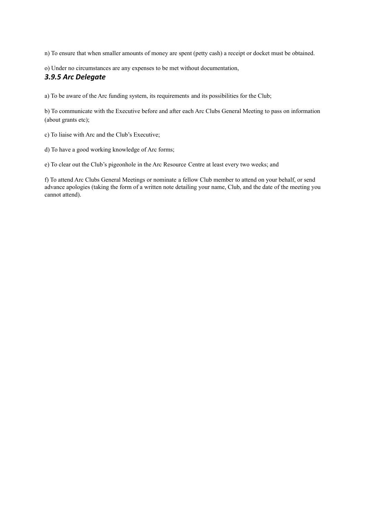n) To ensure that when smaller amounts of money are spent (petty cash) a receipt or docket must be obtained.

o) Under no circumstances are any expenses to be met without documentation,

### *3.9.5 Arc Delegate*

a) To be aware of the Arc funding system, its requirements and its possibilities for the Club;

b) To communicate with the Executive before and after each Arc Clubs General Meeting to pass on information (about grants etc);

c) To liaise with Arc and the Club's Executive;

d) To have a good working knowledge of Arc forms;

e) To clear out the Club's pigeonhole in the Arc Resource Centre at least every two weeks; and

f) To attend Arc Clubs General Meetings or nominate a fellow Club member to attend on your behalf, or send advance apologies (taking the form of a written note detailing your name, Club, and the date of the meeting you cannot attend).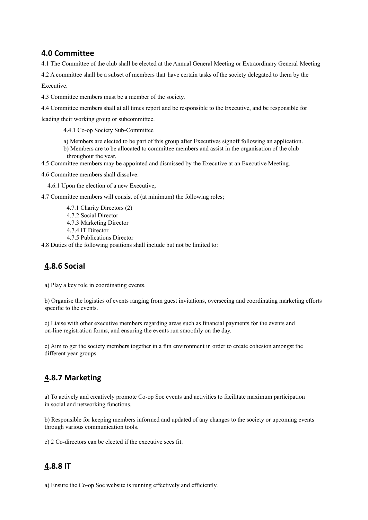## **4.0 Committee**

4.1 The Committee of the club shall be elected at the Annual General Meeting or Extraordinary General Meeting

4.2 A committee shall be a subset of members that have certain tasks of the society delegated to them by the

Executive.

4.3 Committee members must be a member of the society.

4.4 Committee members shall at all times report and be responsible to the Executive, and be responsible for

leading their working group or subcommittee.

4.4.1 Co-op Society Sub-Committee

- a) Members are elected to be part of this group after Executives signoff following an application.
- b) Members are to be allocated to committee members and assist in the organisation of the club throughout the year.
- 4.5 Committee members may be appointed and dismissed by the Executive at an Executive Meeting.

4.6 Committee members shall dissolve:

4.6.1 Upon the election of a new Executive;

4.7 Committee members will consist of (at minimum) the following roles;

- 4.7.1 Charity Directors (2)
- 4.7.2 Social Director
- 4.7.3 Marketing Director
- 4.7.4 IT Director
- 4.7.5 Publications Director

4.8 Duties of the following positions shall include but not be limited to:

# **4.8.6 Social**

a) Play a key role in coordinating events.

b) Organise the logistics of events ranging from guest invitations, overseeing and coordinating marketing efforts specific to the events.

c) Liaise with other executive members regarding areas such as financial payments for the events and on-line registration forms, and ensuring the events run smoothly on the day.

c) Aim to get the society members together in a fun environment in order to create cohesion amongst the different year groups.

# **4.8.7 Marketing**

a) To actively and creatively promote Co-op Soc events and activities to facilitate maximum participation in social and networking functions.

b) Responsible for keeping members informed and updated of any changes to the society or upcoming events through various communication tools.

c) 2 Co-directors can be elected if the executive sees fit.

# **4.8.8 IT**

a) Ensure the Co-op Soc website is running effectively and efficiently.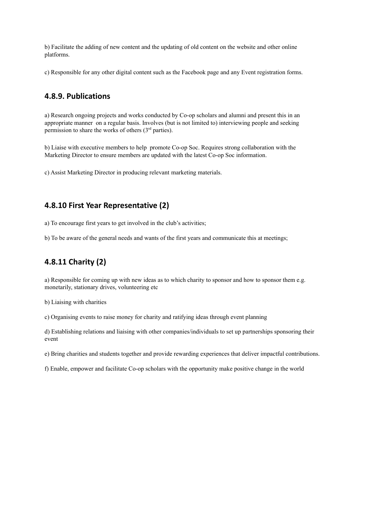b) Facilitate the adding of new content and the updating of old content on the website and other online platforms.

c) Responsible for any other digital content such as the Facebook page and any Event registration forms.

### **4.8.9. Publications**

a) Research ongoing projects and works conducted by Co-op scholars and alumni and present this in an appropriate manner on a regular basis. Involves (but is not limited to) interviewing people and seeking permission to share the works of others  $(3<sup>rd</sup>$  parties).

b) Liaise with executive members to help promote Co-op Soc. Requires strong collaboration with the Marketing Director to ensure members are updated with the latest Co-op Soc information.

c) Assist Marketing Director in producing relevant marketing materials.

## **4.8.10 First Year Representative (2)**

a) To encourage first years to get involved in the club's activities;

b) To be aware of the general needs and wants of the first years and communicate this at meetings;

# **4.8.11 Charity (2)**

a) Responsible for coming up with new ideas as to which charity to sponsor and how to sponsor them e.g. monetarily, stationary drives, volunteering etc

b) Liaising with charities

c) Organising events to raise money for charity and ratifying ideas through event planning

d) Establishing relations and liaising with other companies/individuals to set up partnerships sponsoring their event

e) Bring charities and students together and provide rewarding experiences that deliver impactful contributions.

f) Enable, empower and facilitate Co-op scholars with the opportunity make positive change in the world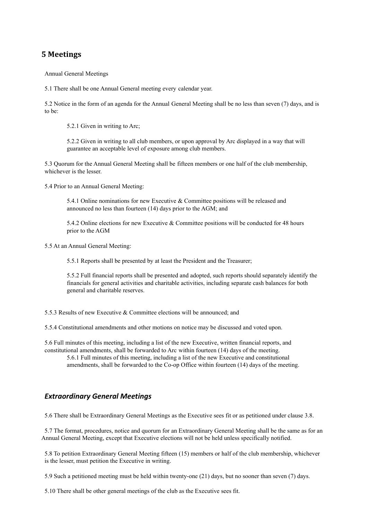## **5 Meetings**

Annual General Meetings

5.1 There shall be one Annual General meeting every calendar year.

5.2 Notice in the form of an agenda for the Annual General Meeting shall be no less than seven (7) days, and is to be:

5.2.1 Given in writing to Arc;

5.2.2 Given in writing to all club members, or upon approval by Arc displayed in a way that will guarantee an acceptable level of exposure among club members.

5.3 Quorum for the Annual General Meeting shall be fifteen members or one half of the club membership, whichever is the lesser.

5.4 Prior to an Annual General Meeting:

5.4.1 Online nominations for new Executive & Committee positions will be released and announced no less than fourteen (14) days prior to the AGM; and

5.4.2 Online elections for new Executive & Committee positions will be conducted for 48 hours prior to the AGM

5.5 At an Annual General Meeting:

5.5.1 Reports shall be presented by at least the President and the Treasurer;

5.5.2 Full financial reports shall be presented and adopted, such reports should separately identify the financials for general activities and charitable activities, including separate cash balances for both general and charitable reserves.

5.5.3 Results of new Executive & Committee elections will be announced; and

5.5.4 Constitutional amendments and other motions on notice may be discussed and voted upon.

5.6 Full minutes of this meeting, including a list of the new Executive, written financial reports, and constitutional amendments, shall be forwarded to Arc within fourteen (14) days of the meeting.

5.6.1 Full minutes of this meeting, including a list of the new Executive and constitutional amendments, shall be forwarded to the Co-op Office within fourteen (14) days of the meeting.

## *Extraordinary General Meetings*

5.6 There shall be Extraordinary General Meetings as the Executive sees fit or as petitioned under clause 3.8.

5.7 The format, procedures, notice and quorum for an Extraordinary General Meeting shall be the same as for an Annual General Meeting, except that Executive elections will not be held unless specifically notified.

5.8 To petition Extraordinary General Meeting fifteen (15) members or half of the club membership, whichever is the lesser, must petition the Executive in writing.

5.9 Such a petitioned meeting must be held within twenty-one (21) days, but no sooner than seven (7) days.

5.10 There shall be other general meetings of the club as the Executive sees fit.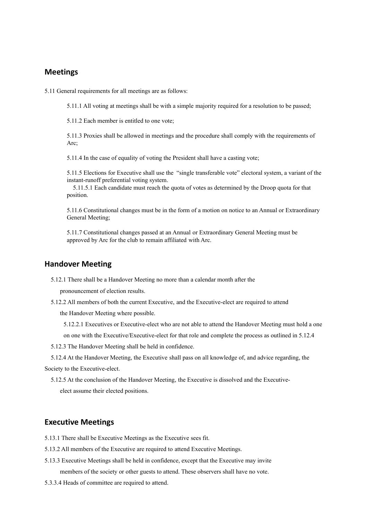#### **Meetings**

5.11 General requirements for all meetings are as follows:

5.11.1 All voting at meetings shall be with a simple majority required for a resolution to be passed;

5.11.2 Each member is entitled to one vote;

5.11.3 Proxies shall be allowed in meetings and the procedure shall comply with the requirements of Arc;

5.11.4 In the case of equality of voting the President shall have a casting vote;

5.11.5 Elections for Executive shall use the "single transferable vote" electoral system, a variant of the instant-runoff preferential voting system.

5.11.5.1 Each candidate must reach the quota of votes as determined by the Droop quota for that position.

5.11.6 Constitutional changes must be in the form of a motion on notice to an Annual or Extraordinary General Meeting;

5.11.7 Constitutional changes passed at an Annual or Extraordinary General Meeting must be approved by Arc for the club to remain affiliated with Arc.

#### **Handover Meeting**

5.12.1 There shall be a Handover Meeting no more than a calendar month after the

pronouncement of election results.

5.12.2 All members of both the current Executive, and the Executive-elect are required to attend

the Handover Meeting where possible.

- 5.12.2.1 Executives or Executive-elect who are not able to attend the Handover Meeting must hold a one
- on one with the Executive/Executive-elect for that role and complete the process as outlined in 5.12.4

5.12.3 The Handover Meeting shall be held in confidence.

5.12.4 At the Handover Meeting, the Executive shall pass on all knowledge of, and advice regarding, the Society to the Executive-elect.

5.12.5 At the conclusion of the Handover Meeting, the Executive is dissolved and the Executiveelect assume their elected positions.

#### **Executive Meetings**

- 5.13.1 There shall be Executive Meetings as the Executive sees fit.
- 5.13.2 All members of the Executive are required to attend Executive Meetings.
- 5.13.3 Executive Meetings shall be held in confidence, except that the Executive may invite members of the society or other guests to attend. These observers shall have no vote.
- 5.3.3.4 Heads of committee are required to attend.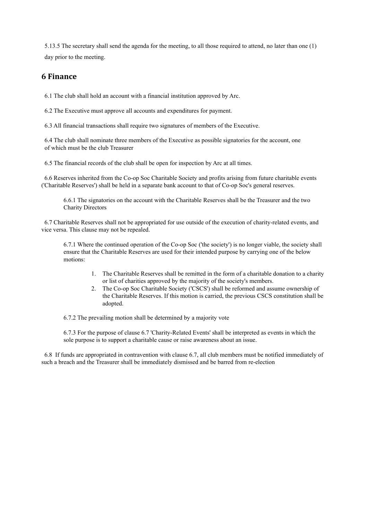5.13.5 The secretary shall send the agenda for the meeting, to all those required to attend, no later than one (1) day prior to the meeting.

## **6 Finance**

6.1 The club shall hold an account with a financial institution approved by Arc.

6.2 The Executive must approve all accounts and expenditures for payment.

6.3 All financial transactions shall require two signatures of members of the Executive.

6.4 The club shall nominate three members of the Executive as possible signatories for the account, one of which must be the club Treasurer

6.5 The financial records of the club shall be open for inspection by Arc at all times.

6.6 Reserves inherited from the Co-op Soc Charitable Society and profits arising from future charitable events ('Charitable Reserves') shall be held in a separate bank account to that of Co-op Soc's general reserves.

6.6.1 The signatories on the account with the Charitable Reserves shall be the Treasurer and the two Charity Directors

6.7 Charitable Reserves shall not be appropriated for use outside of the execution of charity-related events, and vice versa. This clause may not be repealed.

6.7.1 Where the continued operation of the Co-op Soc ('the society') is no longer viable, the society shall ensure that the Charitable Reserves are used for their intended purpose by carrying one of the below motions:

- 1. The Charitable Reserves shall be remitted in the form of a charitable donation to a charity or list of charities approved by the majority of the society's members.
- 2. The Co-op Soc Charitable Society ('CSCS') shall be reformed and assume ownership of the Charitable Reserves. If this motion is carried, the previous CSCS constitution shall be adopted.

6.7.2 The prevailing motion shall be determined by a majority vote

6.7.3 For the purpose of clause 6.7 'Charity-Related Events' shall be interpreted as events in which the sole purpose is to support a charitable cause or raise awareness about an issue.

6.8 If funds are appropriated in contravention with clause 6.7, all club members must be notified immediately of such a breach and the Treasurer shall be immediately dismissed and be barred from re-election